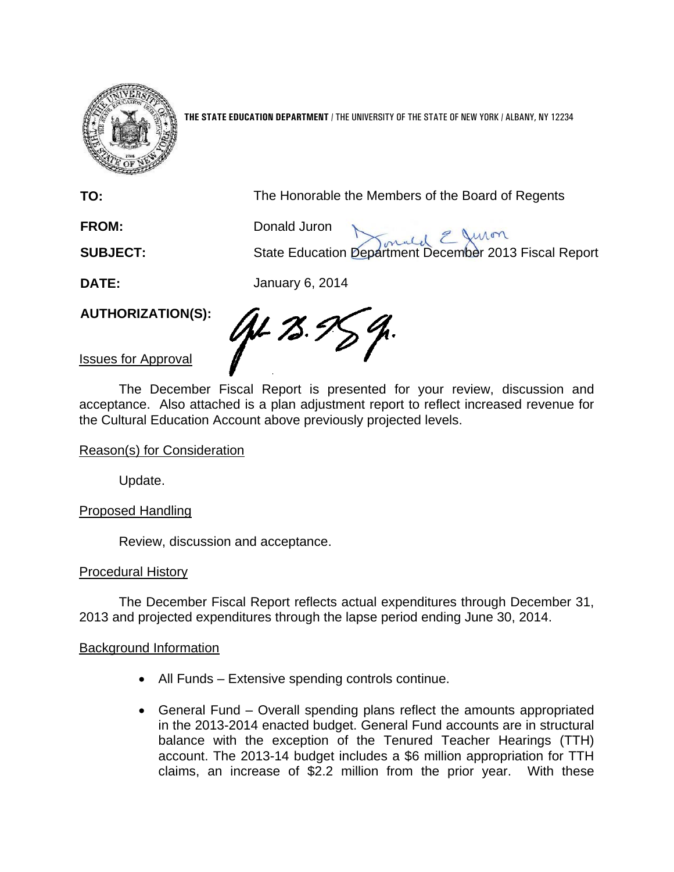

**THE STATE EDUCATION DEPARTMENT** / THE UNIVERSITY OF THE STATE OF NEW YORK / ALBANY, NY 12234

**TO:** The Honorable the Members of the Board of Regents

**FROM:** Donald Juron

**SUBJECT:** State Education Department December 2013 Fiscal Report

**DATE:** January 6, 2014

**AUTHORIZATION(S):** 

AL 75.5

Issues for Approval

The December Fiscal Report is presented for your review, discussion and acceptance. Also attached is a plan adjustment report to reflect increased revenue for the Cultural Education Account above previously projected levels.

# Reason(s) for Consideration

Update.

Proposed Handling

Review, discussion and acceptance.

# Procedural History

The December Fiscal Report reflects actual expenditures through December 31, 2013 and projected expenditures through the lapse period ending June 30, 2014.

# Background Information

- All Funds Extensive spending controls continue.
- General Fund Overall spending plans reflect the amounts appropriated in the 2013-2014 enacted budget. General Fund accounts are in structural balance with the exception of the Tenured Teacher Hearings (TTH) account. The 2013-14 budget includes a \$6 million appropriation for TTH claims, an increase of \$2.2 million from the prior year. With these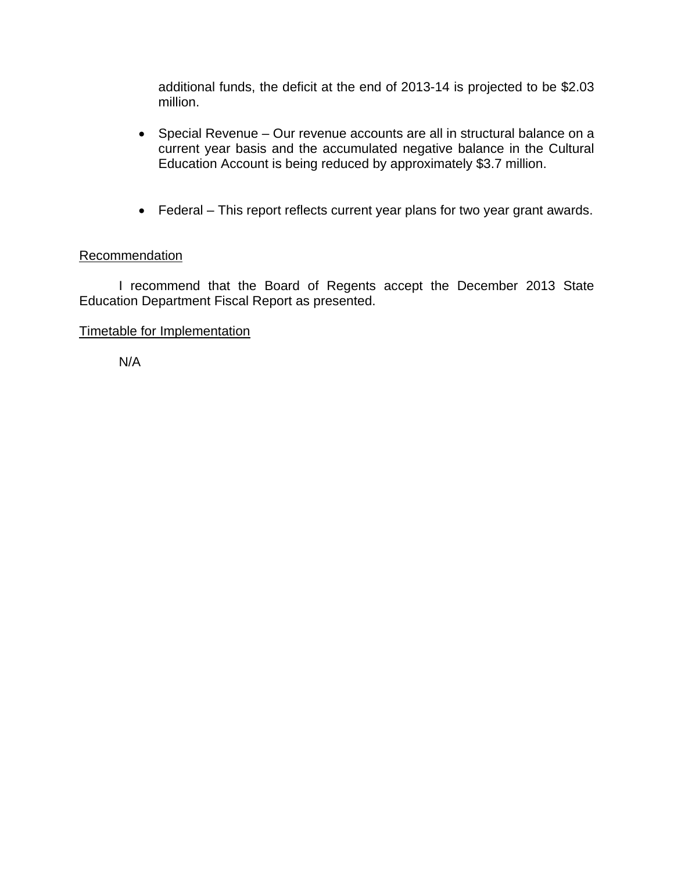additional funds, the deficit at the end of 2013-14 is projected to be \$2.03 million.

- Special Revenue Our revenue accounts are all in structural balance on a current year basis and the accumulated negative balance in the Cultural Education Account is being reduced by approximately \$3.7 million.
- Federal This report reflects current year plans for two year grant awards.

# **Recommendation**

I recommend that the Board of Regents accept the December 2013 State Education Department Fiscal Report as presented.

# Timetable for Implementation

N/A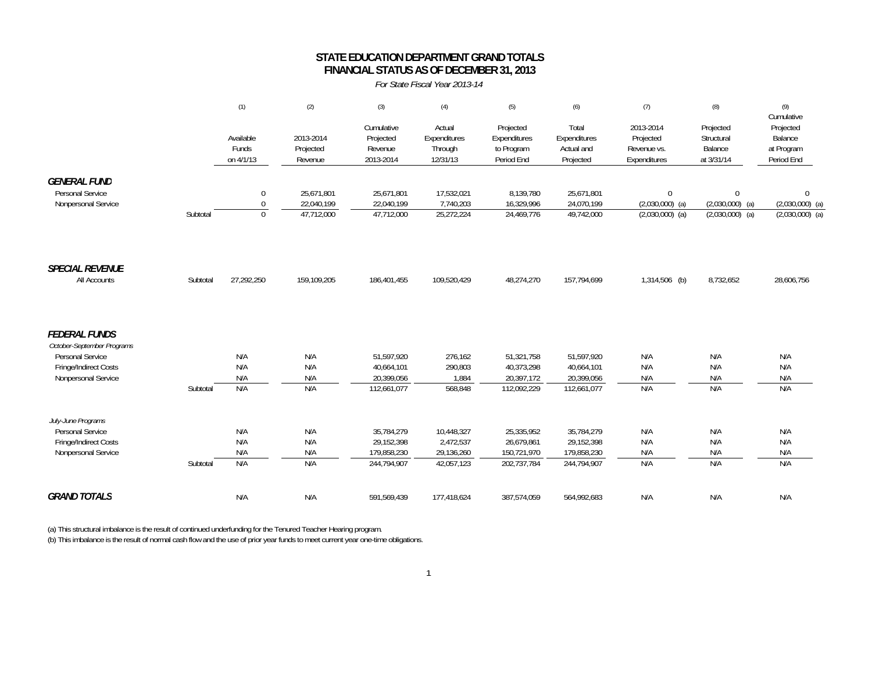#### **STATE EDUCATION DEPARTMENT GRAND TOTALS FINANCIAL STATUS AS OF DECEMBER 31, 2013**

*For State Fiscal Year 2013-14*

|                                              |          | (1)                             | (2)                               | (3)                                             | (4)                                           | (5)                                                   | (6)                                              | (7)                                                   | (8)                                              | (9)<br>Cumulative                                |
|----------------------------------------------|----------|---------------------------------|-----------------------------------|-------------------------------------------------|-----------------------------------------------|-------------------------------------------------------|--------------------------------------------------|-------------------------------------------------------|--------------------------------------------------|--------------------------------------------------|
|                                              |          | Available<br>Funds<br>on 4/1/13 | 2013-2014<br>Projected<br>Revenue | Cumulative<br>Projected<br>Revenue<br>2013-2014 | Actual<br>Expenditures<br>Through<br>12/31/13 | Projected<br>Expenditures<br>to Program<br>Period End | Total<br>Expenditures<br>Actual and<br>Projected | 2013-2014<br>Projected<br>Revenue vs.<br>Expenditures | Projected<br>Structural<br>Balance<br>at 3/31/14 | Projected<br>Balance<br>at Program<br>Period End |
| <b>GENERAL FUND</b>                          |          |                                 |                                   |                                                 |                                               |                                                       |                                                  |                                                       |                                                  |                                                  |
| Personal Service<br>Nonpersonal Service      |          | $\mathbf 0$<br>$\theta$         | 25.671.801<br>22,040,199          | 25,671,801<br>22,040,199                        | 17,532,021<br>7,740,203                       | 8,139,780<br>16,329,996                               | 25,671,801<br>24,070,199                         | $\mathbf{0}$<br>$(2,030,000)$ (a)                     | $\mathbf{0}$<br>$(2,030,000)$ (a)                | $\mathbf 0$<br>$(2,030,000)$ (a)                 |
|                                              | Subtotal | $\mathbf{0}$                    | 47,712,000                        | 47,712,000                                      | 25,272,224                                    | 24,469,776                                            | 49,742,000                                       | $(2,030,000)$ (a)                                     | $(2,030,000)$ (a)                                | $(2,030,000)$ (a)                                |
| <b>SPECIAL REVENUE</b>                       |          |                                 |                                   |                                                 |                                               |                                                       |                                                  |                                                       |                                                  |                                                  |
| All Accounts                                 | Subtotal | 27,292,250                      | 159,109,205                       | 186,401,455                                     | 109,520,429                                   | 48,274,270                                            | 157,794,699                                      | 1,314,506 (b)                                         | 8,732,652                                        | 28,606,756                                       |
| <b>FEDERAL FUNDS</b>                         |          |                                 |                                   |                                                 |                                               |                                                       |                                                  |                                                       |                                                  |                                                  |
| October-September Programs                   |          |                                 |                                   |                                                 |                                               |                                                       |                                                  |                                                       |                                                  |                                                  |
| Personal Service                             |          | N/A<br>N/A                      | N/A<br>N/A                        | 51,597,920                                      | 276,162                                       | 51,321,758                                            | 51,597,920                                       | N/A                                                   | N/A<br>N/A                                       | N/A                                              |
| Fringe/Indirect Costs<br>Nonpersonal Service |          | N/A                             | N/A                               | 40,664,101<br>20,399,056                        | 290,803<br>1,884                              | 40,373,298<br>20,397,172                              | 40,664,101<br>20,399,056                         | N/A<br>N/A                                            | N/A                                              | N/A<br>N/A                                       |
|                                              | Subtotal | N/A                             | N/A                               | 112,661,077                                     | 568,848                                       | 112,092,229                                           | 112,661,077                                      | N/A                                                   | N/A                                              | N/A                                              |
| July-June Programs                           |          |                                 |                                   |                                                 |                                               |                                                       |                                                  |                                                       |                                                  |                                                  |
| Personal Service                             |          | N/A                             | N/A                               | 35,784,279                                      | 10,448,327                                    | 25,335,952                                            | 35,784,279                                       | N/A                                                   | N/A                                              | N/A                                              |
| Fringe/Indirect Costs                        |          | N/A                             | N/A                               | 29,152,398                                      | 2,472,537                                     | 26,679,861                                            | 29,152,398                                       | N/A                                                   | N/A                                              | N/A                                              |
| Nonpersonal Service                          |          | N/A                             | N/A                               | 179,858,230                                     | 29,136,260                                    | 150,721,970                                           | 179,858,230                                      | N/A                                                   | N/A                                              | N/A                                              |
|                                              | Subtotal | N/A                             | N/A                               | 244,794,907                                     | 42,057,123                                    | 202,737,784                                           | 244,794,907                                      | N/A                                                   | N/A                                              | N/A                                              |
| <b>GRAND TOTALS</b>                          |          | N/A                             | N/A                               | 591,569,439                                     | 177,418,624                                   | 387,574,059                                           | 564,992,683                                      | N/A                                                   | N/A                                              | N/A                                              |

(a) This structural imbalance is the result of continued underfunding for the Tenured Teacher Hearing program. (b) This imbalance is the result of normal cash flow and the use of prior year funds to meet current year one-time obligations.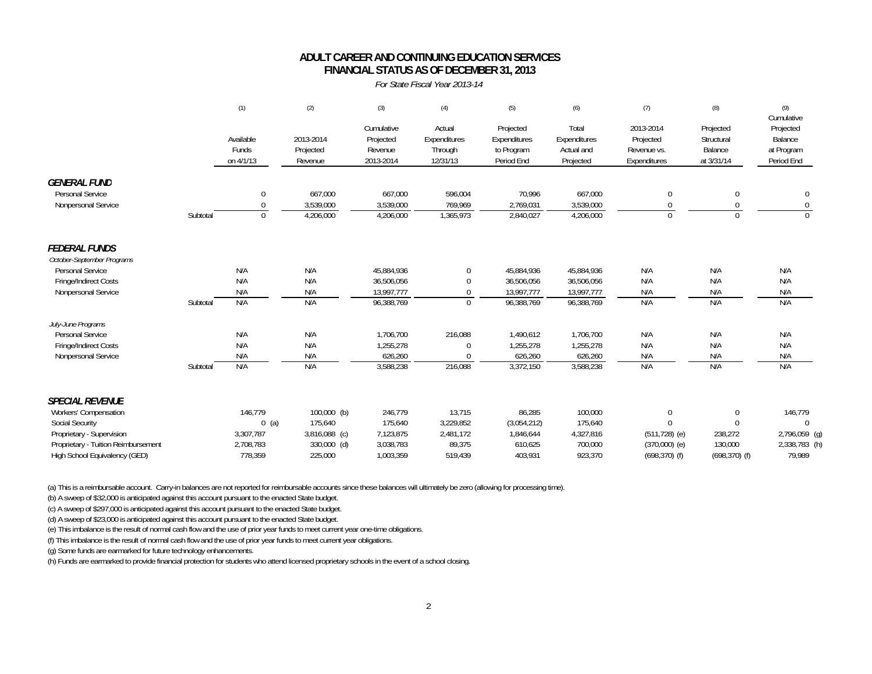### **FINANCIAL STATUS AS OF DECEMBER 31, 2013 ADULT CAREER AND CONTINUING EDUCATION SERVICES**

*For State Fiscal Year 2013-14*

|                                              |          | (1)                             | (2)                               | (3)                                             | (4)                                           | (5)                                                   | (6)                                              | (7)                                                   | (8)                                              | (9)<br>Cumulative                                |
|----------------------------------------------|----------|---------------------------------|-----------------------------------|-------------------------------------------------|-----------------------------------------------|-------------------------------------------------------|--------------------------------------------------|-------------------------------------------------------|--------------------------------------------------|--------------------------------------------------|
|                                              |          | Available<br>Funds<br>on 4/1/13 | 2013-2014<br>Projected<br>Revenue | Cumulative<br>Projected<br>Revenue<br>2013-2014 | Actual<br>Expenditures<br>Through<br>12/31/13 | Projected<br>Expenditures<br>to Program<br>Period End | Total<br>Expenditures<br>Actual and<br>Projected | 2013-2014<br>Projected<br>Revenue vs.<br>Expenditures | Projected<br>Structural<br>Balance<br>at 3/31/14 | Projected<br>Balance<br>at Program<br>Period End |
| <b>GENERAL FUND</b><br>Personal Service      |          | 0                               | 667,000                           | 667,000                                         | 596,004                                       | 70,996                                                | 667,000                                          | $\Omega$                                              | $\Omega$                                         | 0                                                |
| Nonpersonal Service                          |          | $\Omega$                        | 3,539,000                         | 3,539,000                                       | 769,969                                       | 2,769,031                                             | 3,539,000                                        | 0                                                     |                                                  | $\mathbf 0$                                      |
|                                              | Subtotal | $\mathbf{0}$                    | 4,206,000                         | 4,206,000                                       | 1,365,973                                     | 2,840,027                                             | 4,206,000                                        | $\Omega$                                              | $\Omega$                                         |                                                  |
| <b>FEDERAL FUNDS</b>                         |          |                                 |                                   |                                                 |                                               |                                                       |                                                  |                                                       |                                                  |                                                  |
| October-September Programs                   |          |                                 |                                   |                                                 |                                               |                                                       |                                                  |                                                       |                                                  |                                                  |
| Personal Service                             |          | N/A                             | N/A                               | 45,884,936                                      | $\mathbf 0$                                   | 45,884,936                                            | 45,884,936                                       | N/A                                                   | N/A                                              | N/A                                              |
| Fringe/Indirect Costs<br>Nonpersonal Service |          | N/A<br>N/A                      | N/A<br>N/A                        | 36,506,056<br>13,997,777                        | $\Omega$<br>$\mathbf 0$                       | 36,506,056<br>13,997,777                              | 36,506,056<br>13,997,777                         | N/A<br>N/A                                            | N/A<br>N/A                                       | N/A<br>N/A                                       |
|                                              | Subtotal | N/A                             | N/A                               | 96,388,769                                      | $\boldsymbol{0}$                              | 96,388,769                                            | 96,388,769                                       | N/A                                                   | N/A                                              | N/A                                              |
| July-June Programs                           |          |                                 |                                   |                                                 |                                               |                                                       |                                                  |                                                       |                                                  |                                                  |
| Personal Service                             |          | N/A                             | N/A                               | 1,706,700                                       | 216,088                                       | 1,490,612                                             | 1,706,700                                        | N/A                                                   | N/A                                              | N/A                                              |
| Fringe/Indirect Costs                        |          | N/A                             | N/A                               | 1,255,278                                       | $\Omega$                                      | 1,255,278                                             | 1,255,278                                        | N/A                                                   | N/A                                              | N/A                                              |
| Nonpersonal Service                          |          | N/A                             | N/A                               | 626,260                                         | $\Omega$                                      | 626,260                                               | 626,260                                          | N/A                                                   | N/A                                              | N/A                                              |
|                                              | Subtotal | N/A                             | N/A                               | 3,588,238                                       | 216,088                                       | 3,372,150                                             | 3,588,238                                        | N/A                                                   | N/A                                              | N/A                                              |
| <b>SPECIAL REVENUE</b>                       |          |                                 |                                   |                                                 |                                               |                                                       |                                                  |                                                       |                                                  |                                                  |
| Workers' Compensation                        |          | 146,779                         | $100,000$ (b)                     | 246,779                                         | 13,715                                        | 86,285                                                | 100,000                                          | $\mathbf 0$                                           | $\mathbf 0$                                      | 146,779                                          |
| <b>Social Security</b>                       |          | $0$ (a)                         | 175,640                           | 175,640                                         | 3,229,852                                     | (3,054,212)                                           | 175,640                                          | $\Omega$                                              | $\Omega$                                         | $\Omega$                                         |
| Proprietary - Supervision                    |          | 3,307,787                       | 3,816,088 (c)                     | 7,123,875                                       | 2,481,172                                     | 1,846,644                                             | 4,327,816                                        | $(511, 728)$ (e)                                      | 238,272                                          | 2,796,059 (g)                                    |
| Proprietary - Tuition Reimbursement          |          | 2,708,783                       | 330,000 (d)                       | 3,038,783                                       | 89,375                                        | 610,625                                               | 700,000                                          | $(370,000)$ (e)                                       | 130,000                                          | 2,338,783 (h)                                    |
| High School Equivalency (GED)                |          | 778,359                         | 225,000                           | 1,003,359                                       | 519,439                                       | 403,931                                               | 923,370                                          | $(698, 370)$ (f)                                      | $(698, 370)$ (f)                                 | 79.989                                           |

(a) This is a reimbursable account. Carry-in balances are not reported for reimbursable accounts since these balances will ultimately be zero (allowing for processing time).

(b) A sweep of \$32,000 is anticipated against this account pursuant to the enacted State budget.

(c) A sweep of \$297,000 is anticipated against this account pursuant to the enacted State budget.

(d) A sweep of \$23,000 is anticipated against this account pursuant to the enacted State budget.

(e) This imbalance is the result of normal cash flow and the use of prior year funds to meet current year one-time obligations.

(f) This imbalance is the result of normal cash flow and the use of prior year funds to meet current year obligations.

(g) Some funds are earmarked for future technology enhancements.

(h) Funds are earmarked to provide financial protection for students who attend licensed proprietary schools in the event of a school closing.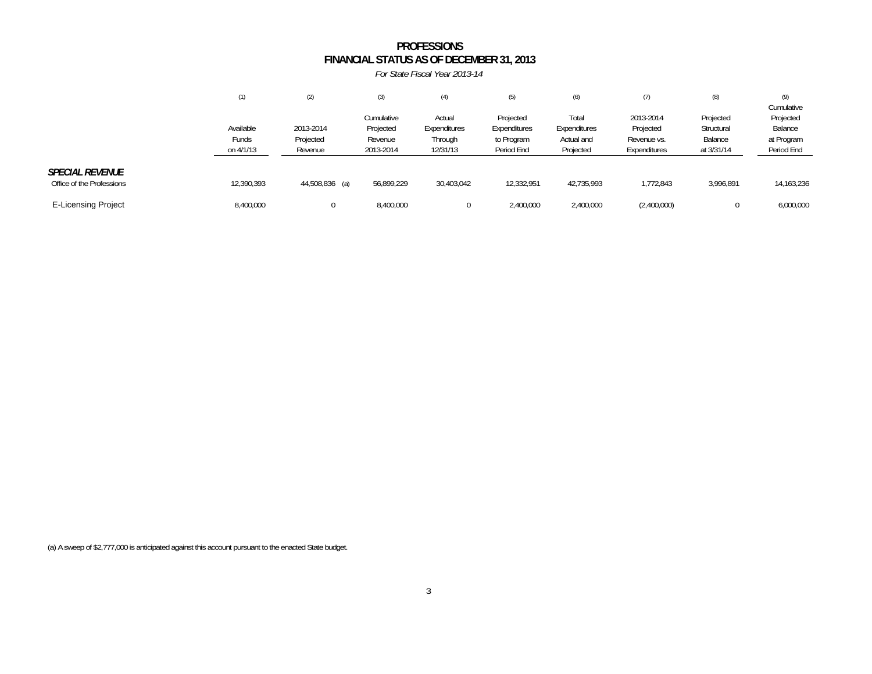#### **FINANCIAL STATUS AS OF DECEMBER 31, 2013 PROFESSIONS**

*For State Fiscal Year 2013-14*

|                                                     | (1)                             | (2)                               | (3)                                             | (4)                                           | (5)                                                   | (6)                                              | (7)                                                   | (8)                                              | (9)<br>Cumulative                                |
|-----------------------------------------------------|---------------------------------|-----------------------------------|-------------------------------------------------|-----------------------------------------------|-------------------------------------------------------|--------------------------------------------------|-------------------------------------------------------|--------------------------------------------------|--------------------------------------------------|
|                                                     | Available<br>Funds<br>on 4/1/13 | 2013-2014<br>Projected<br>Revenue | Cumulative<br>Projected<br>Revenue<br>2013-2014 | Actual<br>Expenditures<br>Through<br>12/31/13 | Projected<br>Expenditures<br>to Program<br>Period End | Total<br>Expenditures<br>Actual and<br>Projected | 2013-2014<br>Projected<br>Revenue vs.<br>Expenditures | Projected<br>Structural<br>Balance<br>at 3/31/14 | Projected<br>Balance<br>at Program<br>Period End |
| <b>SPECIAL REVENUE</b><br>Office of the Professions | 12,390,393                      | 44,508,836 (a)                    | 56,899,229                                      | 30,403,042                                    | 12,332,951                                            | 42.735.993                                       | 1.772.843                                             | 3.996.891                                        | 14,163,236                                       |
| <b>E-Licensing Project</b>                          | 8,400,000                       | 0                                 | 8,400,000                                       |                                               | 2,400,000                                             | 2,400,000                                        | (2,400,000)                                           |                                                  | 6,000,000                                        |

(a) A sweep of \$2,777,000 is anticipated against this account pursuant to the enacted State budget.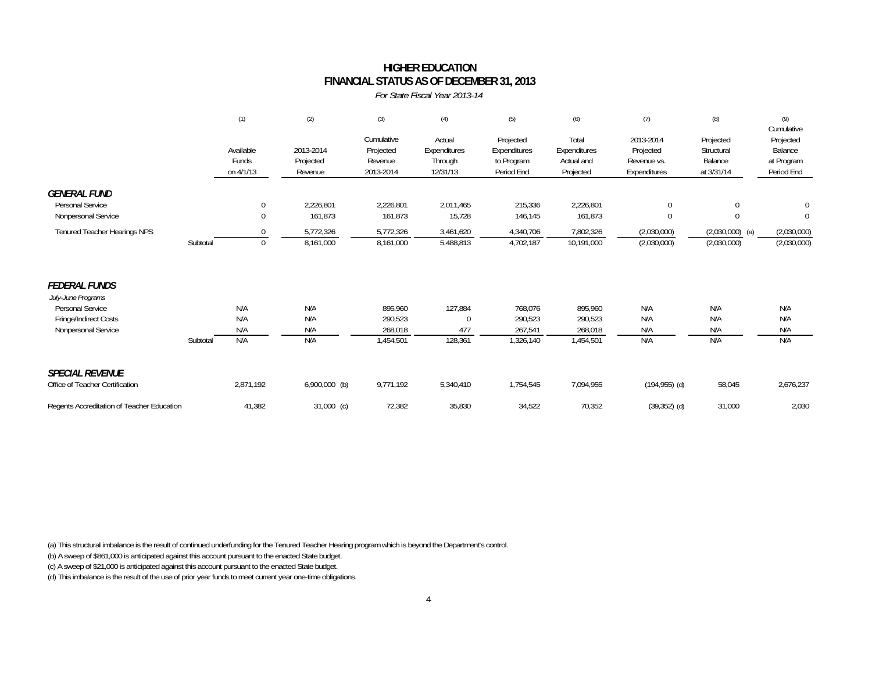#### **HIGHER EDUCATION FINANCIAL STATUS AS OF DECEMBER 31, 2013**

*For State Fiscal Year 2013-14*

|                                                                  |          | (1)                             | (2)                               | (3)                                             | (4)                                           | (5)                                                   | (6)                                              | (7)                                                   | (8)                                              | (9)<br>Cumulative                                |
|------------------------------------------------------------------|----------|---------------------------------|-----------------------------------|-------------------------------------------------|-----------------------------------------------|-------------------------------------------------------|--------------------------------------------------|-------------------------------------------------------|--------------------------------------------------|--------------------------------------------------|
|                                                                  |          | Available<br>Funds<br>on 4/1/13 | 2013-2014<br>Projected<br>Revenue | Cumulative<br>Projected<br>Revenue<br>2013-2014 | Actual<br>Expenditures<br>Through<br>12/31/13 | Projected<br>Expenditures<br>to Program<br>Period End | Total<br>Expenditures<br>Actual and<br>Projected | 2013-2014<br>Projected<br>Revenue vs.<br>Expenditures | Projected<br>Structural<br>Balance<br>at 3/31/14 | Projected<br>Balance<br>at Program<br>Period End |
| <b>GENERAL FUND</b><br>Personal Service<br>Nonpersonal Service   |          | 0<br>$\mathbf 0$                | 2,226,801<br>161,873              | 2,226,801<br>161,873                            | 2,011,465<br>15,728                           | 215,336<br>146,145                                    | 2,226,801<br>161,873                             | $\mathbf 0$<br>$\Omega$                               | 0<br>$\mathbf{0}$                                | $\mathbf 0$<br>$\theta$                          |
| Tenured Teacher Hearings NPS                                     | Subtotal | $\Omega$<br>$\mathbf{0}$        | 5,772,326<br>8,161,000            | 5,772,326<br>8,161,000                          | 3,461,620<br>5,488,813                        | 4,340,706<br>4,702,187                                | 7,802,326<br>10,191,000                          | (2,030,000)<br>(2,030,000)                            | $(2,030,000)$ (a)<br>(2,030,000)                 | (2,030,000)<br>(2,030,000)                       |
| <b>FEDERAL FUNDS</b><br>July-June Programs                       |          |                                 |                                   |                                                 |                                               |                                                       |                                                  |                                                       |                                                  |                                                  |
| Personal Service<br>Fringe/Indirect Costs<br>Nonpersonal Service |          | N/A<br>N/A<br>N/A               | N/A<br>N/A<br>N/A                 | 895.960<br>290,523<br>268,018                   | 127,884<br>477                                | 768.076<br>290,523<br>267,541                         | 895.960<br>290,523<br>268,018                    | N/A<br>N/A<br>N/A                                     | N/A<br>N/A<br>N/A                                | N/A<br>N/A<br>N/A                                |
|                                                                  | Subtotal | N/A                             | N/A                               | 1,454,501                                       | 128,361                                       | 1,326,140                                             | 1,454,501                                        | N/A                                                   | N/A                                              | N/A                                              |
| <b>SPECIAL REVENUE</b><br>Office of Teacher Certification        |          | 2,871,192                       | $6,900,000$ (b)                   | 9,771,192                                       | 5,340,410                                     | 1,754,545                                             | 7,094,955                                        | $(194, 955)$ (d)                                      | 58,045                                           | 2,676,237                                        |
| Regents Accreditation of Teacher Education                       |          | 41,382                          | $31,000$ (c)                      | 72,382                                          | 35,830                                        | 34,522                                                | 70,352                                           | $(39,352)$ (d)                                        | 31,000                                           | 2,030                                            |

(a) This structural imbalance is the result of continued underfunding for the Tenured Teacher Hearing program which is beyond the Department's control.

(b) A sweep of \$861,000 is anticipated against this account pursuant to the enacted State budget.

(c) A sweep of \$21,000 is anticipated against this account pursuant to the enacted State budget.

(d) This imbalance is the result of the use of prior year funds to meet current year one-time obligations.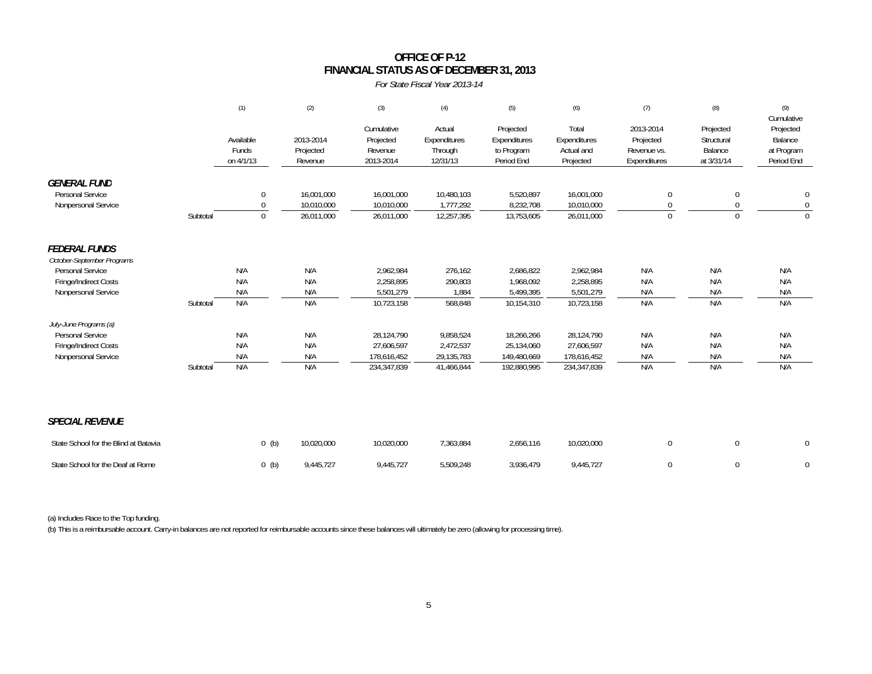### **OFFICE OF P-12FINANCIAL STATUS AS OF DECEMBER 31, 2013**

*For State Fiscal Year 2013-14*

|                                                    |          | (1)                             | (2)                               | (3)                                             | (4)                                           | (5)                                                   | (6)                                              | (7)                                                   | (8)                                              | (9)<br>Cumulative                                |
|----------------------------------------------------|----------|---------------------------------|-----------------------------------|-------------------------------------------------|-----------------------------------------------|-------------------------------------------------------|--------------------------------------------------|-------------------------------------------------------|--------------------------------------------------|--------------------------------------------------|
|                                                    |          | Available<br>Funds<br>on 4/1/13 | 2013-2014<br>Projected<br>Revenue | Cumulative<br>Projected<br>Revenue<br>2013-2014 | Actual<br>Expenditures<br>Through<br>12/31/13 | Projected<br>Expenditures<br>to Program<br>Period End | Total<br>Expenditures<br>Actual and<br>Projected | 2013-2014<br>Projected<br>Revenue vs.<br>Expenditures | Projected<br>Structural<br>Balance<br>at 3/31/14 | Projected<br>Balance<br>at Program<br>Period End |
| <b>GENERAL FUND</b>                                |          |                                 |                                   |                                                 |                                               |                                                       |                                                  |                                                       |                                                  |                                                  |
| <b>Personal Service</b>                            |          | $\mathbf 0$                     | 16,001,000                        | 16,001,000                                      | 10,480,103                                    | 5,520,897                                             | 16,001,000                                       | 0                                                     | 0                                                | 0                                                |
| Nonpersonal Service                                |          | $\Omega$                        | 10,010,000                        | 10,010,000                                      | 1,777,292                                     | 8,232,708                                             | 10,010,000                                       | $\Omega$                                              | 0                                                | $\mathbf 0$                                      |
|                                                    | Subtotal | $\Omega$                        | 26,011,000                        | 26,011,000                                      | 12,257,395                                    | 13,753,605                                            | 26,011,000                                       | $\Omega$                                              | $\Omega$                                         | $\Omega$                                         |
| <b>FEDERAL FUNDS</b><br>October-September Programs |          |                                 |                                   |                                                 |                                               |                                                       |                                                  |                                                       |                                                  |                                                  |
| Personal Service                                   |          | N/A                             | N/A                               | 2,962,984                                       | 276,162                                       | 2,686,822                                             | 2,962,984                                        | N/A                                                   | N/A                                              | N/A                                              |
| Fringe/Indirect Costs                              |          | N/A                             | N/A                               | 2,258,895                                       | 290,803                                       | 1,968,092                                             | 2,258,895                                        | N/A                                                   | N/A                                              | N/A                                              |
| Nonpersonal Service                                |          | N/A                             | N/A                               | 5,501,279                                       | 1,884                                         | 5,499,395                                             | 5,501,279                                        | N/A                                                   | N/A                                              | N/A                                              |
|                                                    | Subtotal | N/A                             | N/A                               | 10,723,158                                      | 568,848                                       | 10,154,310                                            | 10,723,158                                       | N/A                                                   | N/A                                              | N/A                                              |
| July-June Programs (a)                             |          |                                 |                                   |                                                 |                                               |                                                       |                                                  |                                                       |                                                  |                                                  |
| Personal Service                                   |          | N/A                             | N/A                               | 28,124,790                                      | 9,858,524                                     | 18,266,266                                            | 28,124,790                                       | N/A                                                   | N/A                                              | N/A                                              |
| Fringe/Indirect Costs<br>Nonpersonal Service       |          | N/A<br>N/A                      | N/A<br>N/A                        | 27,606,597<br>178,616,452                       | 2,472,537<br>29,135,783                       | 25,134,060<br>149,480,669                             | 27,606,597<br>178,616,452                        | N/A<br>N/A                                            | N/A<br>N/A                                       | N/A<br>N/A                                       |
|                                                    | Subtotal | N/A                             | N/A                               | 234,347,839                                     | 41,466,844                                    | 192,880,995                                           | 234,347,839                                      | N/A                                                   | N/A                                              | N/A                                              |
|                                                    |          |                                 |                                   |                                                 |                                               |                                                       |                                                  |                                                       |                                                  |                                                  |
| <b>SPECIAL REVENUE</b>                             |          |                                 |                                   |                                                 |                                               |                                                       |                                                  |                                                       |                                                  |                                                  |
| State School for the Blind at Batavia              |          | $0$ (b)                         | 10,020,000                        | 10,020,000                                      | 7,363,884                                     | 2,656,116                                             | 10,020,000                                       | $\mathbf 0$                                           | $\mathbf 0$                                      | 0                                                |
| State School for the Deaf at Rome                  |          | $0$ (b)                         | 9,445,727                         | 9,445,727                                       | 5,509,248                                     | 3,936,479                                             | 9,445,727                                        | $\mathbf 0$                                           | $\Omega$                                         | $\mathbf{0}$                                     |

(a) Includes Race to the Top funding.

(b) This is a reimbursable account. Carry-in balances are not reported for reimbursable accounts since these balances will ultimately be zero (allowing for processing time).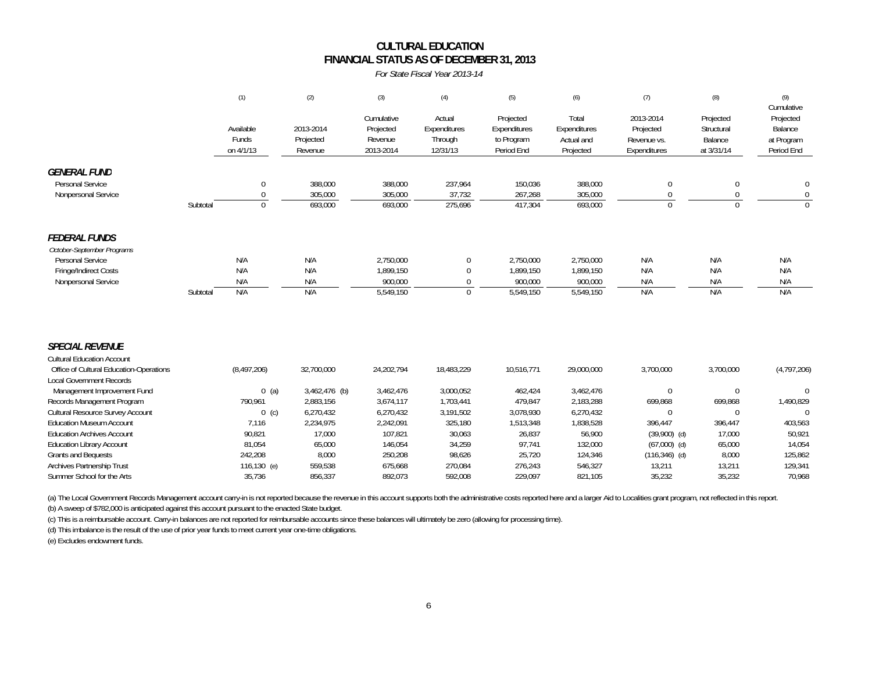### **FINANCIAL STATUS AS OF DECEMBER 31, 2013 CULTURAL EDUCATION**

*For State Fiscal Year 2013-14*

|                                                                                                                                                                                                                                                                                                                    |          | (1)                                                               | (2)                                                                          | (3)                                                                       | (4)                                                                    | (5)                                                                  | (6)                                                                      | (7)                                                                          | (8)                                                                  | (9)<br>Cumulative                                                        |
|--------------------------------------------------------------------------------------------------------------------------------------------------------------------------------------------------------------------------------------------------------------------------------------------------------------------|----------|-------------------------------------------------------------------|------------------------------------------------------------------------------|---------------------------------------------------------------------------|------------------------------------------------------------------------|----------------------------------------------------------------------|--------------------------------------------------------------------------|------------------------------------------------------------------------------|----------------------------------------------------------------------|--------------------------------------------------------------------------|
|                                                                                                                                                                                                                                                                                                                    |          | Available<br>Funds<br>on 4/1/13                                   | 2013-2014<br>Projected<br>Revenue                                            | Cumulative<br>Projected<br>Revenue<br>2013-2014                           | Actual<br>Expenditures<br>Through<br>12/31/13                          | Projected<br>Expenditures<br>to Program<br>Period End                | Total<br>Expenditures<br>Actual and<br>Projected                         | 2013-2014<br>Projected<br>Revenue vs.<br>Expenditures                        | Projected<br>Structural<br>Balance<br>at 3/31/14                     | Projected<br>Balance<br>at Program<br>Period End                         |
| <b>GENERAL FUND</b><br>Personal Service<br>Nonpersonal Service                                                                                                                                                                                                                                                     | Subtotal | 0<br>$\mathbf 0$<br>$\mathbf{0}$                                  | 388,000<br>305,000<br>693,000                                                | 388,000<br>305,000<br>693,000                                             | 237,964<br>37,732<br>275,696                                           | 150,036<br>267,268<br>417,304                                        | 388,000<br>305,000<br>693,000                                            | $\theta$<br>$\Omega$<br>$\Omega$                                             | $\boldsymbol{0}$<br>0<br>$\Omega$                                    | 0<br>$\mathbf 0$<br>$\Omega$                                             |
| <b>FEDERAL FUNDS</b><br>October-September Programs<br>Personal Service<br>Fringe/Indirect Costs<br>Nonpersonal Service                                                                                                                                                                                             | Subtotal | N/A<br>N/A<br>N/A<br>N/A                                          | N/A<br>N/A<br>N/A<br>N/A                                                     | 2,750,000<br>1,899,150<br>900.000<br>5,549,150                            | 0<br>$\mathbf 0$<br>$\mathbf 0$<br>$\mathbf 0$                         | 2,750,000<br>1,899,150<br>900,000<br>5,549,150                       | 2,750,000<br>1,899,150<br>900,000<br>5,549,150                           | N/A<br>N/A<br>N/A<br>N/A                                                     | N/A<br>N/A<br>N/A<br>N/A                                             | N/A<br>N/A<br>N/A<br>N/A                                                 |
| <b>SPECIAL REVENUE</b><br><b>Cultural Education Account</b><br>Office of Cultural Education-Operations<br><b>Local Government Records</b><br>Management Improvement Fund<br>Records Management Program<br>Cultural Resource Survey Account<br><b>Education Museum Account</b><br><b>Education Archives Account</b> |          | (8, 497, 206)<br>$0$ (a)<br>790,961<br>$0$ (c)<br>7,116<br>90,821 | 32,700,000<br>3,462,476 (b)<br>2,883,156<br>6,270,432<br>2,234,975<br>17,000 | 24,202,794<br>3,462,476<br>3,674,117<br>6,270,432<br>2,242,091<br>107,821 | 18,483,229<br>3,000,052<br>1,703,441<br>3,191,502<br>325,180<br>30,063 | 10,516,771<br>462,424<br>479,847<br>3,078,930<br>1,513,348<br>26,837 | 29,000,000<br>3,462,476<br>2,183,288<br>6,270,432<br>1,838,528<br>56,900 | 3,700,000<br>$\mathbf 0$<br>699,868<br>$\Omega$<br>396,447<br>$(39,900)$ (d) | 3,700,000<br>$\mathbf 0$<br>699,868<br>$\Omega$<br>396,447<br>17,000 | (4,797,206)<br>$\mathbf 0$<br>1,490,829<br>$\Omega$<br>403,563<br>50,921 |
| <b>Education Library Account</b><br>Grants and Bequests<br>Archives Partnership Trust<br>Summer School for the Arts                                                                                                                                                                                                |          | 81,054<br>242,208<br>116,130 (e)<br>35,736                        | 65,000<br>8,000<br>559,538<br>856,337                                        | 146,054<br>250,208<br>675,668<br>892,073                                  | 34,259<br>98,626<br>270,084<br>592,008                                 | 97,741<br>25,720<br>276,243<br>229,097                               | 132,000<br>124,346<br>546,327<br>821,105                                 | $(67,000)$ (d)<br>$(116, 346)$ (d)<br>13,211<br>35,232                       | 65,000<br>8,000<br>13,211<br>35,232                                  | 14,054<br>125,862<br>129,341<br>70,968                                   |

(a) The Local Government Records Management account carry-in is not reported because the revenue in this account supports both the administrative costs reported here and a larger Aid to Localities grant program, not reflec (b) A sweep of \$782,000 is anticipated against this account pursuant to the enacted State budget.

(c) This is a reimbursable account. Carry-in balances are not reported for reimbursable accounts since these balances will ultimately be zero (allowing for processing time).

(d) This imbalance is the result of the use of prior year funds to meet current year one-time obligations.

(e) Excludes endowment funds.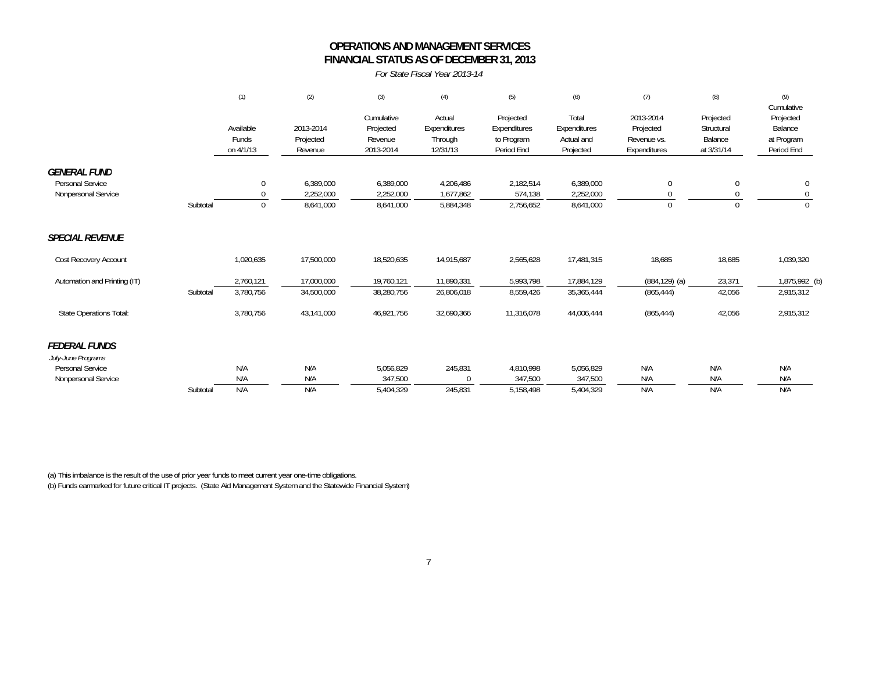### **OPERATIONS AND MANAGEMENT SERVICESFINANCIAL STATUS AS OF DECEMBER 31, 2013**

*For State Fiscal Year 2013-14*

|                                         |          | (1)          | (2)        | (3)        | (4)          | (5)          | (6)          | (7)              | (8)        | (9)<br>Cumulative |
|-----------------------------------------|----------|--------------|------------|------------|--------------|--------------|--------------|------------------|------------|-------------------|
|                                         |          |              |            | Cumulative | Actual       | Projected    | Total        | 2013-2014        | Projected  | Projected         |
|                                         |          | Available    | 2013-2014  | Projected  | Expenditures | Expenditures | Expenditures | Projected        | Structural | Balance           |
|                                         |          | Funds        | Projected  | Revenue    | Through      | to Program   | Actual and   | Revenue vs.      | Balance    | at Program        |
|                                         |          | on 4/1/13    | Revenue    | 2013-2014  | 12/31/13     | Period End   | Projected    | Expenditures     | at 3/31/14 | Period End        |
| <b>GENERAL FUND</b><br>Personal Service |          | 0            | 6,389,000  | 6,389,000  | 4,206,486    | 2,182,514    | 6,389,000    | 0                |            |                   |
| Nonpersonal Service                     |          | $\Omega$     | 2,252,000  | 2,252,000  | 1,677,862    | 574,138      | 2,252,000    |                  |            |                   |
|                                         | Subtotal | $\mathbf{0}$ | 8,641,000  | 8,641,000  | 5,884,348    | 2,756,652    | 8,641,000    | $\mathbf 0$      |            |                   |
| <b>SPECIAL REVENUE</b>                  |          |              |            |            |              |              |              |                  |            |                   |
| Cost Recovery Account                   |          | 1,020,635    | 17,500,000 | 18,520,635 | 14,915,687   | 2,565,628    | 17,481,315   | 18,685           | 18,685     | 1,039,320         |
| Automation and Printing (IT)            |          | 2,760,121    | 17,000,000 | 19,760,121 | 11,890,331   | 5,993,798    | 17,884,129   | $(884, 129)$ (a) | 23,371     | 1,875,992 (b)     |
|                                         | Subtotal | 3,780,756    | 34,500,000 | 38,280,756 | 26,806,018   | 8,559,426    | 35,365,444   | (865, 444)       | 42,056     | 2,915,312         |
| <b>State Operations Total:</b>          |          | 3,780,756    | 43,141,000 | 46,921,756 | 32,690,366   | 11,316,078   | 44,006,444   | (865, 444)       | 42,056     | 2,915,312         |
| <b>FEDERAL FUNDS</b>                    |          |              |            |            |              |              |              |                  |            |                   |
| July-June Programs                      |          |              |            |            |              |              |              |                  |            |                   |
| Personal Service                        |          | N/A          | N/A        | 5,056,829  | 245,831      | 4,810,998    | 5,056,829    | N/A              | N/A        | N/A               |
| Nonpersonal Service                     |          | N/A          | N/A        | 347,500    |              | 347,500      | 347,500      | N/A              | N/A        | N/A               |
|                                         | Subtotal | N/A          | N/A        | 5,404,329  | 245,831      | 5,158,498    | 5,404,329    | N/A              | N/A        | N/A               |

(a) This imbalance is the result of the use of prior year funds to meet current year one-time obligations. (b) Funds earmarked for future critical IT projects. (State Aid Management System and the Statewide Financial System)